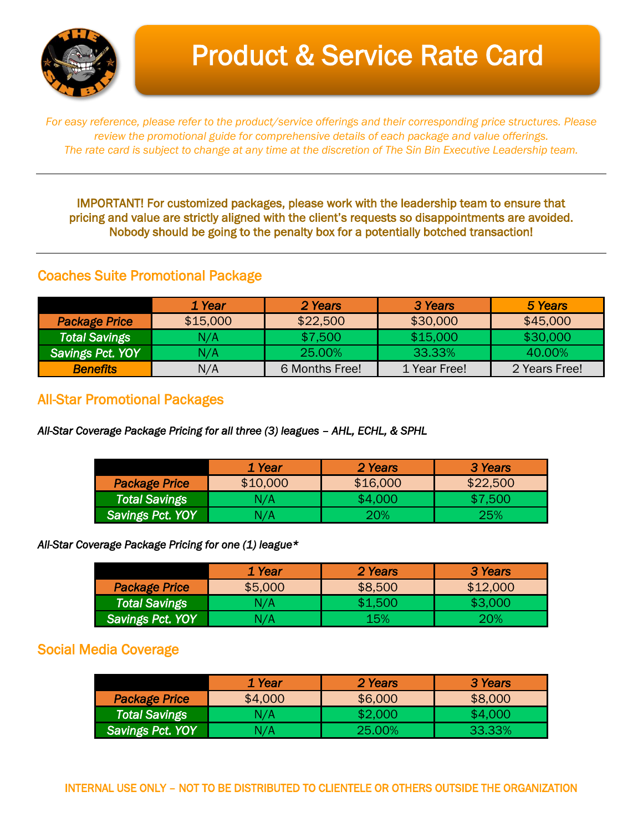

# Product & Service Rate Card

*For easy reference, please refer to the product/service offerings and their corresponding price structures. Please review the promotional guide for comprehensive details of each package and value offerings. The rate card is subject to change at any time at the discretion of The Sin Bin Executive Leadership team.*

IMPORTANT! For customized packages, please work with the leadership team to ensure that pricing and value are strictly aligned with the client's requests so disappointments are avoided. Nobody should be going to the penalty box for a potentially botched transaction!

#### Coaches Suite Promotional Package

|                         | 1 Year   | 2 Years        | 3 Years      | 5 Years       |
|-------------------------|----------|----------------|--------------|---------------|
| <b>Package Price</b>    | \$15,000 | \$22,500       | \$30,000     | \$45,000      |
| <b>Total Savings</b>    | N/A      | \$7,500        | \$15,000     | \$30,000      |
| <b>Savings Pct. YOY</b> | N/A      | 25.00%         | 33.33%       | 40.00%        |
| <b>Benefits</b>         | N/A      | 6 Months Free! | 1 Year Free! | 2 Years Free! |

### All-Star Promotional Packages

*All-Star Coverage Package Pricing for all three (3) leagues – AHL, ECHL, & SPHL* 

|                         | 1 Year   | 2 Years  | 3 Years  |
|-------------------------|----------|----------|----------|
| <b>Package Price</b>    | \$10,000 | \$16,000 | \$22,500 |
| Total Savings           | N/A      | \$4,000  | \$7.500  |
| <b>Savings Pct. YOY</b> | N/A      | 20%      | 25%      |

#### *All-Star Coverage Package Pricing for one (1) league\**

|                      | <b>1 Year</b> | 2 Years | 3 Years    |
|----------------------|---------------|---------|------------|
| <b>Package Price</b> | \$5,000       | \$8,500 | \$12,000   |
| <b>Total Savings</b> | N/A           | \$1,500 | \$3,000    |
| Savings Pct. YOY     | N/A           | 15%     | <b>20%</b> |

### Social Media Coverage

|                      | 1 Year  | 2 Years | 3 Years |
|----------------------|---------|---------|---------|
| <b>Package Price</b> | \$4,000 | \$6,000 | \$8,000 |
| <b>Total Savings</b> | N/A     | \$2,000 | \$4,000 |
| Savings Pct. YOY     | N/A     | -25.00% | 33.33%  |